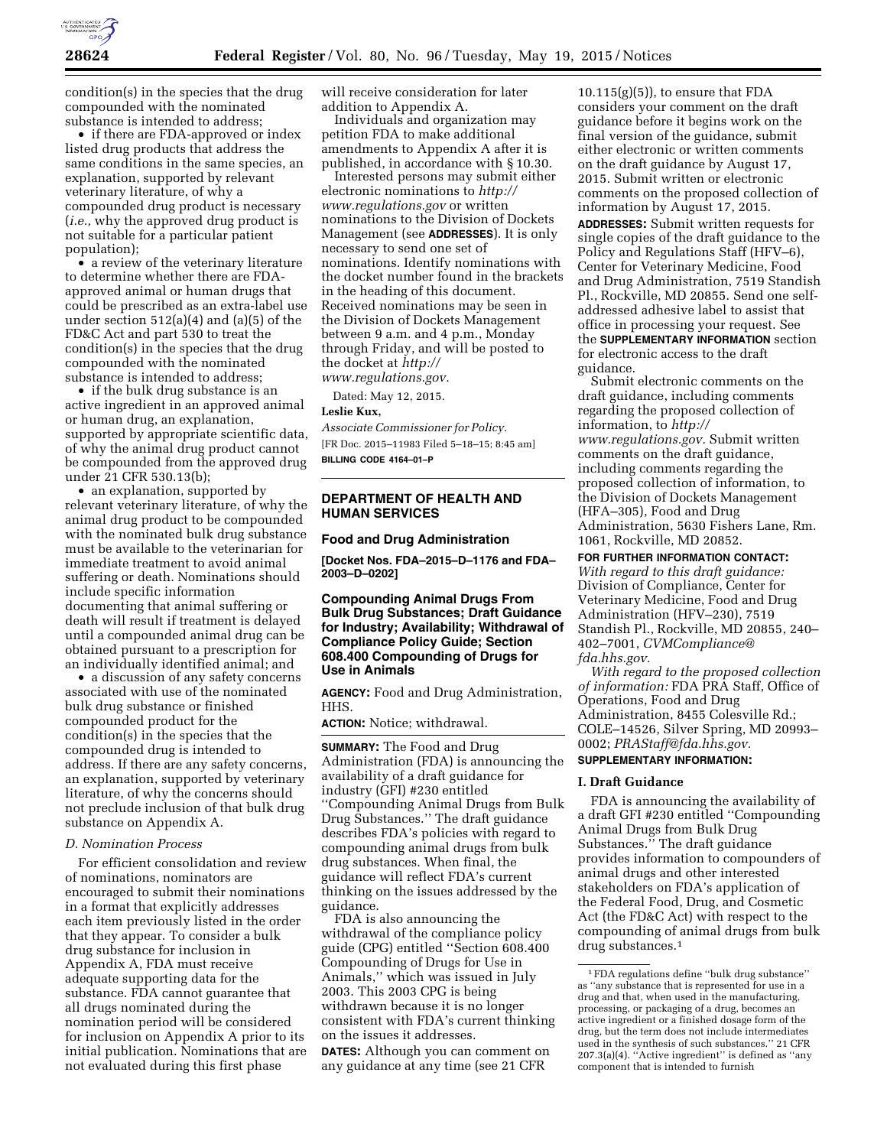

condition(s) in the species that the drug compounded with the nominated substance is intended to address;

• if there are FDA-approved or index listed drug products that address the same conditions in the same species, an explanation, supported by relevant veterinary literature, of why a compounded drug product is necessary (*i.e.,* why the approved drug product is not suitable for a particular patient population);

• a review of the veterinary literature to determine whether there are FDAapproved animal or human drugs that could be prescribed as an extra-label use under section 512(a)(4) and (a)(5) of the FD&C Act and part 530 to treat the condition(s) in the species that the drug compounded with the nominated substance is intended to address;

• if the bulk drug substance is an active ingredient in an approved animal or human drug, an explanation, supported by appropriate scientific data, of why the animal drug product cannot be compounded from the approved drug under 21 CFR 530.13(b);

• an explanation, supported by relevant veterinary literature, of why the animal drug product to be compounded with the nominated bulk drug substance must be available to the veterinarian for immediate treatment to avoid animal suffering or death. Nominations should include specific information documenting that animal suffering or death will result if treatment is delayed until a compounded animal drug can be obtained pursuant to a prescription for an individually identified animal; and

• a discussion of any safety concerns associated with use of the nominated bulk drug substance or finished compounded product for the condition(s) in the species that the compounded drug is intended to address. If there are any safety concerns, an explanation, supported by veterinary literature, of why the concerns should not preclude inclusion of that bulk drug substance on Appendix A.

# *D. Nomination Process*

For efficient consolidation and review of nominations, nominators are encouraged to submit their nominations in a format that explicitly addresses each item previously listed in the order that they appear. To consider a bulk drug substance for inclusion in Appendix A, FDA must receive adequate supporting data for the substance. FDA cannot guarantee that all drugs nominated during the nomination period will be considered for inclusion on Appendix A prior to its initial publication. Nominations that are not evaluated during this first phase

will receive consideration for later addition to Appendix A.

Individuals and organization may petition FDA to make additional amendments to Appendix A after it is published, in accordance with § 10.30.

Interested persons may submit either electronic nominations to *[http://](http://www.regulations.gov) [www.regulations.gov](http://www.regulations.gov)* or written nominations to the Division of Dockets Management (see **ADDRESSES**). It is only necessary to send one set of nominations. Identify nominations with the docket number found in the brackets in the heading of this document. Received nominations may be seen in the Division of Dockets Management between 9 a.m. and 4 p.m., Monday through Friday, and will be posted to the docket at *[http://](http://www.regulations.gov) [www.regulations.gov.](http://www.regulations.gov)* 

Dated: May 12, 2015.

## **Leslie Kux,**

*Associate Commissioner for Policy.*  [FR Doc. 2015–11983 Filed 5–18–15; 8:45 am] **BILLING CODE 4164–01–P** 

# **DEPARTMENT OF HEALTH AND HUMAN SERVICES**

## **Food and Drug Administration**

**[Docket Nos. FDA–2015–D–1176 and FDA– 2003–D–0202]** 

# **Compounding Animal Drugs From Bulk Drug Substances; Draft Guidance for Industry; Availability; Withdrawal of Compliance Policy Guide; Section 608.400 Compounding of Drugs for Use in Animals**

**AGENCY:** Food and Drug Administration, HHS.

**ACTION:** Notice; withdrawal.

**SUMMARY:** The Food and Drug Administration (FDA) is announcing the availability of a draft guidance for industry (GFI) #230 entitled ''Compounding Animal Drugs from Bulk Drug Substances.'' The draft guidance describes FDA's policies with regard to compounding animal drugs from bulk drug substances. When final, the guidance will reflect FDA's current thinking on the issues addressed by the guidance.

FDA is also announcing the withdrawal of the compliance policy guide (CPG) entitled ''Section 608.400 Compounding of Drugs for Use in Animals,'' which was issued in July 2003. This 2003 CPG is being withdrawn because it is no longer consistent with FDA's current thinking on the issues it addresses. **DATES:** Although you can comment on any guidance at any time (see 21 CFR

 $10.115(g)(5)$ , to ensure that FDA considers your comment on the draft guidance before it begins work on the final version of the guidance, submit either electronic or written comments on the draft guidance by August 17, 2015. Submit written or electronic comments on the proposed collection of information by August 17, 2015.

**ADDRESSES:** Submit written requests for single copies of the draft guidance to the Policy and Regulations Staff (HFV–6), Center for Veterinary Medicine, Food and Drug Administration, 7519 Standish Pl., Rockville, MD 20855. Send one selfaddressed adhesive label to assist that office in processing your request. See the **SUPPLEMENTARY INFORMATION** section for electronic access to the draft guidance.

Submit electronic comments on the draft guidance, including comments regarding the proposed collection of information, to *[http://](http://www.regulations.gov) [www.regulations.gov.](http://www.regulations.gov)* Submit written comments on the draft guidance, including comments regarding the proposed collection of information, to the Division of Dockets Management (HFA–305), Food and Drug Administration, 5630 Fishers Lane, Rm. 1061, Rockville, MD 20852.

# **FOR FURTHER INFORMATION CONTACT:**

*With regard to this draft guidance:*  Division of Compliance, Center for Veterinary Medicine, Food and Drug Administration (HFV–230), 7519 Standish Pl., Rockville, MD 20855, 240– 402–7001, *[CVMCompliance@](mailto:CVMCompliance@fda.hhs.gov) [fda.hhs.gov.](mailto:CVMCompliance@fda.hhs.gov)* 

*With regard to the proposed collection of information:* FDA PRA Staff, Office of Operations, Food and Drug Administration, 8455 Colesville Rd.; COLE–14526, Silver Spring, MD 20993– 0002; *[PRAStaff@fda.hhs.gov.](mailto:PRAStaff@fda.hhs.gov)* 

# **SUPPLEMENTARY INFORMATION:**

**I. Draft Guidance** 

FDA is announcing the availability of a draft GFI #230 entitled ''Compounding Animal Drugs from Bulk Drug Substances.'' The draft guidance provides information to compounders of animal drugs and other interested stakeholders on FDA's application of the Federal Food, Drug, and Cosmetic Act (the FD&C Act) with respect to the compounding of animal drugs from bulk drug substances.1

<sup>1</sup>FDA regulations define ''bulk drug substance'' as ''any substance that is represented for use in a drug and that, when used in the manufacturing, processing, or packaging of a drug, becomes an active ingredient or a finished dosage form of the drug, but the term does not include intermediates used in the synthesis of such substances.'' 21 CFR 207.3(a)(4). ''Active ingredient'' is defined as ''any component that is intended to furnish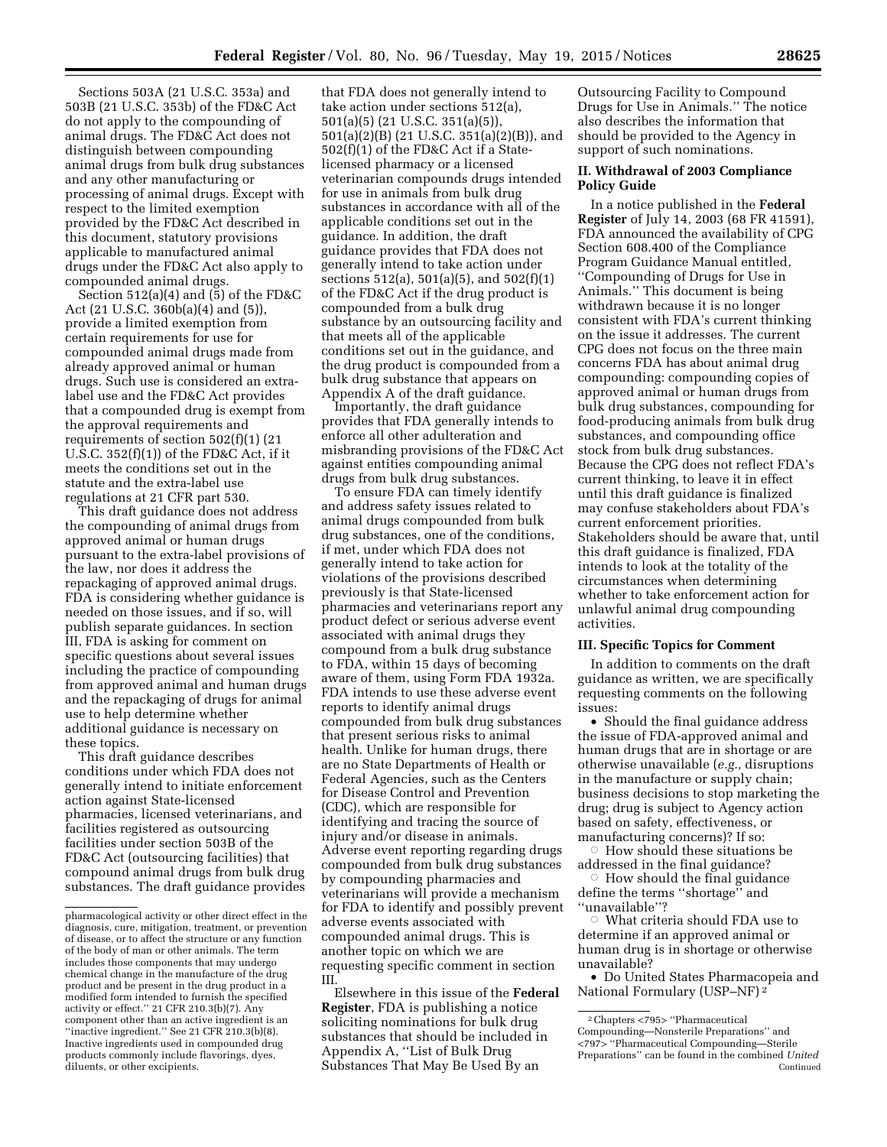Sections 503A (21 U.S.C. 353a) and 503B (21 U.S.C. 353b) of the FD&C Act do not apply to the compounding of animal drugs. The FD&C Act does not distinguish between compounding animal drugs from bulk drug substances and any other manufacturing or processing of animal drugs. Except with respect to the limited exemption provided by the FD&C Act described in this document, statutory provisions applicable to manufactured animal drugs under the FD&C Act also apply to compounded animal drugs.

Section  $512(a)(4)$  and  $(5)$  of the FD&C Act (21 U.S.C. 360b(a)(4) and (5)), provide a limited exemption from certain requirements for use for compounded animal drugs made from already approved animal or human drugs. Such use is considered an extralabel use and the FD&C Act provides that a compounded drug is exempt from the approval requirements and requirements of section 502(f)(1) (21 U.S.C.  $352(f)(1)$  of the FD&C Act, if it meets the conditions set out in the statute and the extra-label use regulations at 21 CFR part 530.

This draft guidance does not address the compounding of animal drugs from approved animal or human drugs pursuant to the extra-label provisions of the law, nor does it address the repackaging of approved animal drugs. FDA is considering whether guidance is needed on those issues, and if so, will publish separate guidances. In section III, FDA is asking for comment on specific questions about several issues including the practice of compounding from approved animal and human drugs and the repackaging of drugs for animal use to help determine whether additional guidance is necessary on these topics.

This draft guidance describes conditions under which FDA does not generally intend to initiate enforcement action against State-licensed pharmacies, licensed veterinarians, and facilities registered as outsourcing facilities under section 503B of the FD&C Act (outsourcing facilities) that compound animal drugs from bulk drug substances. The draft guidance provides

that FDA does not generally intend to take action under sections 512(a), 501(a)(5) (21 U.S.C. 351(a)(5)), 501(a)(2)(B) (21 U.S.C. 351(a)(2)(B)), and 502(f)(1) of the FD&C Act if a Statelicensed pharmacy or a licensed veterinarian compounds drugs intended for use in animals from bulk drug substances in accordance with all of the applicable conditions set out in the guidance. In addition, the draft guidance provides that FDA does not generally intend to take action under sections 512(a), 501(a)(5), and 502(f)(1) of the FD&C Act if the drug product is compounded from a bulk drug substance by an outsourcing facility and that meets all of the applicable conditions set out in the guidance, and the drug product is compounded from a bulk drug substance that appears on Appendix A of the draft guidance.

Importantly, the draft guidance provides that FDA generally intends to enforce all other adulteration and misbranding provisions of the FD&C Act against entities compounding animal drugs from bulk drug substances.

To ensure FDA can timely identify and address safety issues related to animal drugs compounded from bulk drug substances, one of the conditions, if met, under which FDA does not generally intend to take action for violations of the provisions described previously is that State-licensed pharmacies and veterinarians report any product defect or serious adverse event associated with animal drugs they compound from a bulk drug substance to FDA, within 15 days of becoming aware of them, using Form FDA 1932a. FDA intends to use these adverse event reports to identify animal drugs compounded from bulk drug substances that present serious risks to animal health. Unlike for human drugs, there are no State Departments of Health or Federal Agencies, such as the Centers for Disease Control and Prevention (CDC), which are responsible for identifying and tracing the source of injury and/or disease in animals. Adverse event reporting regarding drugs compounded from bulk drug substances by compounding pharmacies and veterinarians will provide a mechanism for FDA to identify and possibly prevent adverse events associated with compounded animal drugs. This is another topic on which we are requesting specific comment in section III.

Elsewhere in this issue of the **Federal Register**, FDA is publishing a notice soliciting nominations for bulk drug substances that should be included in Appendix A, ''List of Bulk Drug Substances That May Be Used By an

Outsourcing Facility to Compound Drugs for Use in Animals.'' The notice also describes the information that should be provided to the Agency in support of such nominations.

# **II. Withdrawal of 2003 Compliance Policy Guide**

In a notice published in the **Federal Register** of July 14, 2003 (68 FR 41591), FDA announced the availability of CPG Section 608.400 of the Compliance Program Guidance Manual entitled, ''Compounding of Drugs for Use in Animals.'' This document is being withdrawn because it is no longer consistent with FDA's current thinking on the issue it addresses. The current CPG does not focus on the three main concerns FDA has about animal drug compounding: compounding copies of approved animal or human drugs from bulk drug substances, compounding for food-producing animals from bulk drug substances, and compounding office stock from bulk drug substances. Because the CPG does not reflect FDA's current thinking, to leave it in effect until this draft guidance is finalized may confuse stakeholders about FDA's current enforcement priorities. Stakeholders should be aware that, until this draft guidance is finalized, FDA intends to look at the totality of the circumstances when determining whether to take enforcement action for unlawful animal drug compounding activities.

## **III. Specific Topics for Comment**

In addition to comments on the draft guidance as written, we are specifically requesting comments on the following issues:

• Should the final guidance address the issue of FDA-approved animal and human drugs that are in shortage or are otherwise unavailable (*e.g.,* disruptions in the manufacture or supply chain; business decisions to stop marketing the drug; drug is subject to Agency action based on safety, effectiveness, or manufacturing concerns)? If so: Æ

 How should these situations be addressed in the final guidance? Æ

 How should the final guidance define the terms ''shortage'' and ''unavailable''?

 $\circ$  What criteria should FDA use to determine if an approved animal or human drug is in shortage or otherwise unavailable?

• Do United States Pharmacopeia and National Formulary (USP–NF) 2

pharmacological activity or other direct effect in the diagnosis, cure, mitigation, treatment, or prevention of disease, or to affect the structure or any function of the body of man or other animals. The term includes those components that may undergo chemical change in the manufacture of the drug product and be present in the drug product in a modified form intended to furnish the specified activity or effect.'' 21 CFR 210.3(b)(7). Any component other than an active ingredient is an "inactive ingredient." See 21 CFR 210.3(b)(8). Inactive ingredients used in compounded drug products commonly include flavorings, dyes, diluents, or other excipients.

<sup>2</sup>Chapters <795> ''Pharmaceutical Compounding—Nonsterile Preparations'' and <797> ''Pharmaceutical Compounding—Sterile Preparations'' can be found in the combined *United*  Continued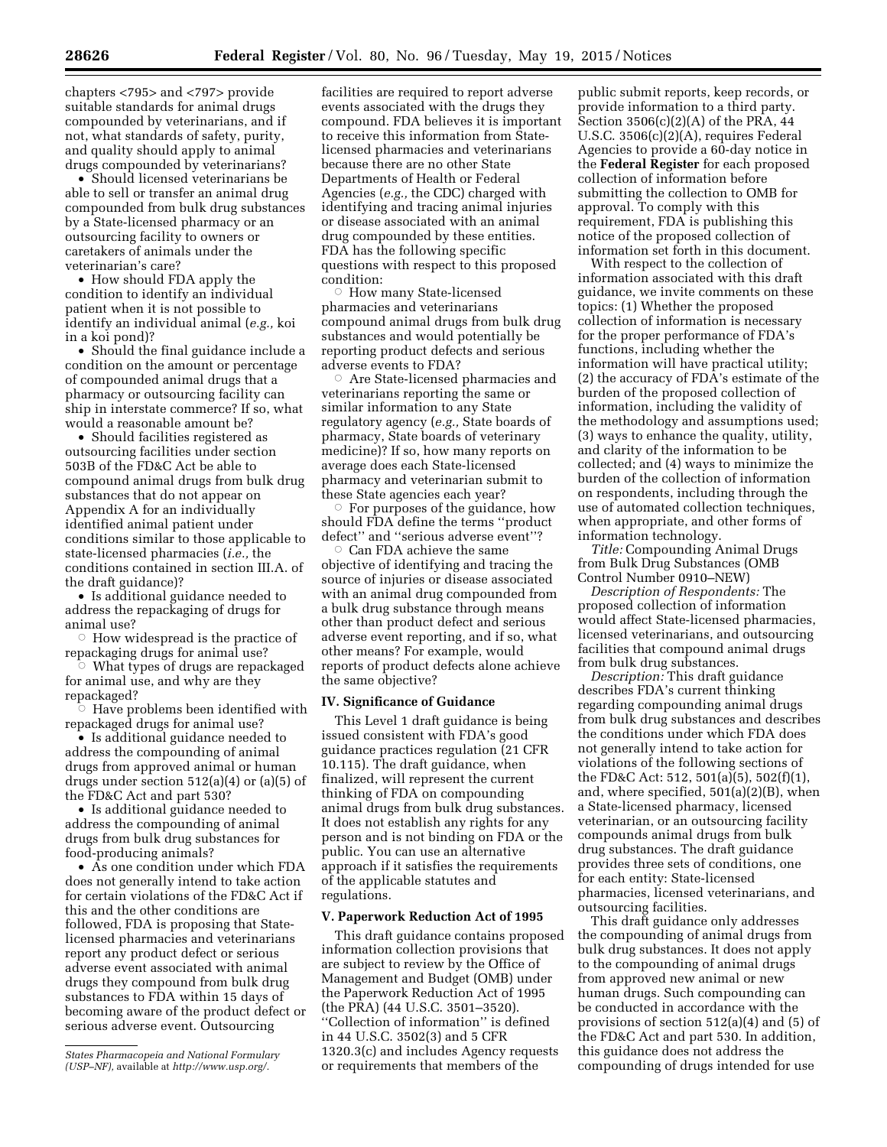chapters <795> and <797> provide suitable standards for animal drugs compounded by veterinarians, and if not, what standards of safety, purity, and quality should apply to animal drugs compounded by veterinarians?

• Should licensed veterinarians be able to sell or transfer an animal drug compounded from bulk drug substances by a State-licensed pharmacy or an outsourcing facility to owners or caretakers of animals under the veterinarian's care?

• How should FDA apply the condition to identify an individual patient when it is not possible to identify an individual animal (*e.g.,* koi in a koi pond)?

• Should the final guidance include a condition on the amount or percentage of compounded animal drugs that a pharmacy or outsourcing facility can ship in interstate commerce? If so, what would a reasonable amount be?

• Should facilities registered as outsourcing facilities under section 503B of the FD&C Act be able to compound animal drugs from bulk drug substances that do not appear on Appendix A for an individually identified animal patient under conditions similar to those applicable to state-licensed pharmacies (*i.e.,* the conditions contained in section III.A. of the draft guidance)?

• Is additional guidance needed to address the repackaging of drugs for animal use?

 $\circ$  How widespread is the practice of repackaging drugs for animal use?

Æ What types of drugs are repackaged for animal use, and why are they repackaged?

 $\circ$  Have problems been identified with repackaged drugs for animal use?

• Is additional guidance needed to address the compounding of animal drugs from approved animal or human drugs under section 512(a)(4) or (a)(5) of the FD&C Act and part 530?

• Is additional guidance needed to address the compounding of animal drugs from bulk drug substances for food-producing animals?

• As one condition under which FDA does not generally intend to take action for certain violations of the FD&C Act if this and the other conditions are followed, FDA is proposing that Statelicensed pharmacies and veterinarians report any product defect or serious adverse event associated with animal drugs they compound from bulk drug substances to FDA within 15 days of becoming aware of the product defect or serious adverse event. Outsourcing

facilities are required to report adverse events associated with the drugs they compound. FDA believes it is important to receive this information from Statelicensed pharmacies and veterinarians because there are no other State Departments of Health or Federal Agencies (*e.g.,* the CDC) charged with identifying and tracing animal injuries or disease associated with an animal drug compounded by these entities. FDA has the following specific questions with respect to this proposed condition:

**E** How many State-licensed pharmacies and veterinarians compound animal drugs from bulk drug substances and would potentially be reporting product defects and serious adverse events to FDA?

 $\circ$  Are State-licensed pharmacies and veterinarians reporting the same or similar information to any State regulatory agency (*e.g.,* State boards of pharmacy, State boards of veterinary medicine)? If so, how many reports on average does each State-licensed pharmacy and veterinarian submit to these State agencies each year?

 $\circ$  For purposes of the guidance, how should FDA define the terms ''product defect'' and ''serious adverse event''?

 $\circ$  Can FDA achieve the same objective of identifying and tracing the source of injuries or disease associated with an animal drug compounded from a bulk drug substance through means other than product defect and serious adverse event reporting, and if so, what other means? For example, would reports of product defects alone achieve the same objective?

#### **IV. Significance of Guidance**

This Level 1 draft guidance is being issued consistent with FDA's good guidance practices regulation (21 CFR 10.115). The draft guidance, when finalized, will represent the current thinking of FDA on compounding animal drugs from bulk drug substances. It does not establish any rights for any person and is not binding on FDA or the public. You can use an alternative approach if it satisfies the requirements of the applicable statutes and regulations.

## **V. Paperwork Reduction Act of 1995**

This draft guidance contains proposed information collection provisions that are subject to review by the Office of Management and Budget (OMB) under the Paperwork Reduction Act of 1995 (the PRA) (44 U.S.C. 3501–3520). ''Collection of information'' is defined in 44 U.S.C. 3502(3) and 5 CFR 1320.3(c) and includes Agency requests or requirements that members of the

public submit reports, keep records, or provide information to a third party. Section 3506(c)(2)(A) of the PRA, 44 U.S.C. 3506(c)(2)(A), requires Federal Agencies to provide a 60-day notice in the **Federal Register** for each proposed collection of information before submitting the collection to OMB for approval. To comply with this requirement, FDA is publishing this notice of the proposed collection of information set forth in this document.

With respect to the collection of information associated with this draft guidance, we invite comments on these topics: (1) Whether the proposed collection of information is necessary for the proper performance of FDA's functions, including whether the information will have practical utility; (2) the accuracy of FDA's estimate of the burden of the proposed collection of information, including the validity of the methodology and assumptions used; (3) ways to enhance the quality, utility, and clarity of the information to be collected; and (4) ways to minimize the burden of the collection of information on respondents, including through the use of automated collection techniques, when appropriate, and other forms of information technology.

*Title:* Compounding Animal Drugs from Bulk Drug Substances (OMB Control Number 0910–NEW)

*Description of Respondents:* The proposed collection of information would affect State-licensed pharmacies, licensed veterinarians, and outsourcing facilities that compound animal drugs from bulk drug substances.

*Description:* This draft guidance describes FDA's current thinking regarding compounding animal drugs from bulk drug substances and describes the conditions under which FDA does not generally intend to take action for violations of the following sections of the FD&C Act: 512, 501(a)(5), 502(f)(1), and, where specified, 501(a)(2)(B), when a State-licensed pharmacy, licensed veterinarian, or an outsourcing facility compounds animal drugs from bulk drug substances. The draft guidance provides three sets of conditions, one for each entity: State-licensed pharmacies, licensed veterinarians, and outsourcing facilities.

This draft guidance only addresses the compounding of animal drugs from bulk drug substances. It does not apply to the compounding of animal drugs from approved new animal or new human drugs. Such compounding can be conducted in accordance with the provisions of section 512(a)(4) and (5) of the FD&C Act and part 530. In addition, this guidance does not address the compounding of drugs intended for use

*States Pharmacopeia and National Formulary (USP–NF),* available at *[http://www.usp.org/.](http://www.usp.org/)*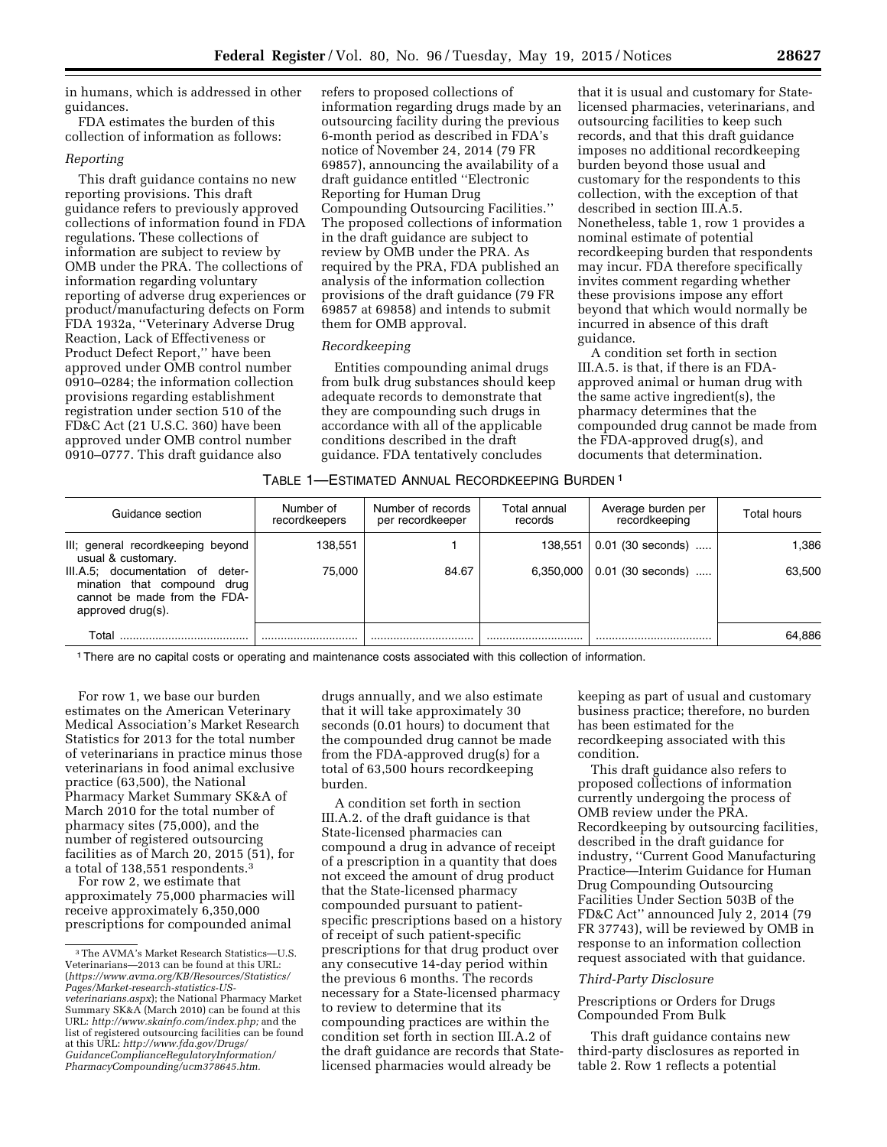in humans, which is addressed in other guidances.

FDA estimates the burden of this collection of information as follows:

# *Reporting*

This draft guidance contains no new reporting provisions. This draft guidance refers to previously approved collections of information found in FDA regulations. These collections of information are subject to review by OMB under the PRA. The collections of information regarding voluntary reporting of adverse drug experiences or product/manufacturing defects on Form FDA 1932a, ''Veterinary Adverse Drug Reaction, Lack of Effectiveness or Product Defect Report,'' have been approved under OMB control number 0910–0284; the information collection provisions regarding establishment registration under section 510 of the FD&C Act (21 U.S.C. 360) have been approved under OMB control number 0910–0777. This draft guidance also

refers to proposed collections of information regarding drugs made by an outsourcing facility during the previous 6-month period as described in FDA's notice of November 24, 2014 (79 FR 69857), announcing the availability of a draft guidance entitled ''Electronic Reporting for Human Drug Compounding Outsourcing Facilities.'' The proposed collections of information in the draft guidance are subject to review by OMB under the PRA. As required by the PRA, FDA published an analysis of the information collection provisions of the draft guidance (79 FR 69857 at 69858) and intends to submit them for OMB approval.

## *Recordkeeping*

Entities compounding animal drugs from bulk drug substances should keep adequate records to demonstrate that they are compounding such drugs in accordance with all of the applicable conditions described in the draft guidance. FDA tentatively concludes

that it is usual and customary for Statelicensed pharmacies, veterinarians, and outsourcing facilities to keep such records, and that this draft guidance imposes no additional recordkeeping burden beyond those usual and customary for the respondents to this collection, with the exception of that described in section III.A.5. Nonetheless, table 1, row 1 provides a nominal estimate of potential recordkeeping burden that respondents may incur. FDA therefore specifically invites comment regarding whether these provisions impose any effort beyond that which would normally be incurred in absence of this draft guidance.

A condition set forth in section III.A.5. is that, if there is an FDAapproved animal or human drug with the same active ingredient(s), the pharmacy determines that the compounded drug cannot be made from the FDA-approved drug(s), and documents that determination.

## TABLE 1—ESTIMATED ANNUAL RECORDKEEPING BURDEN 1

| Guidance section                                                                                                           | Number of<br>recordkeepers | Number of records<br>per recordkeeper | Total annual<br>records | Average burden per<br>recordkeeping | Total hours |
|----------------------------------------------------------------------------------------------------------------------------|----------------------------|---------------------------------------|-------------------------|-------------------------------------|-------------|
| III; general recordkeeping beyond<br>usual & customary.                                                                    | 138,551                    |                                       | 138,551                 | $0.01$ (30 seconds)                 | 1.386       |
| III.A.5; documentation of<br>deter-<br>mination that compound<br>drua<br>cannot be made from the FDA-<br>approved drug(s). | 75.000                     | 84.67                                 | 6.350.000               | 0.01 (30 seconds)                   | 63.500      |
| Total                                                                                                                      |                            |                                       |                         |                                     | 64.886      |

1There are no capital costs or operating and maintenance costs associated with this collection of information.

For row 1, we base our burden estimates on the American Veterinary Medical Association's Market Research Statistics for 2013 for the total number of veterinarians in practice minus those veterinarians in food animal exclusive practice (63,500), the National Pharmacy Market Summary SK&A of March 2010 for the total number of pharmacy sites (75,000), and the number of registered outsourcing facilities as of March 20, 2015 (51), for a total of 138,551 respondents.3

For row 2, we estimate that approximately 75,000 pharmacies will receive approximately 6,350,000 prescriptions for compounded animal

drugs annually, and we also estimate that it will take approximately 30 seconds (0.01 hours) to document that the compounded drug cannot be made from the FDA-approved drug(s) for a total of 63,500 hours recordkeeping burden.

A condition set forth in section III.A.2. of the draft guidance is that State-licensed pharmacies can compound a drug in advance of receipt of a prescription in a quantity that does not exceed the amount of drug product that the State-licensed pharmacy compounded pursuant to patientspecific prescriptions based on a history of receipt of such patient-specific prescriptions for that drug product over any consecutive 14-day period within the previous 6 months. The records necessary for a State-licensed pharmacy to review to determine that its compounding practices are within the condition set forth in section III.A.2 of the draft guidance are records that Statelicensed pharmacies would already be

keeping as part of usual and customary business practice; therefore, no burden has been estimated for the recordkeeping associated with this condition.

This draft guidance also refers to proposed collections of information currently undergoing the process of OMB review under the PRA. Recordkeeping by outsourcing facilities, described in the draft guidance for industry, ''Current Good Manufacturing Practice—Interim Guidance for Human Drug Compounding Outsourcing Facilities Under Section 503B of the FD&C Act'' announced July 2, 2014 (79 FR 37743), will be reviewed by OMB in response to an information collection request associated with that guidance.

#### *Third-Party Disclosure*

Prescriptions or Orders for Drugs Compounded From Bulk

This draft guidance contains new third-party disclosures as reported in table 2. Row 1 reflects a potential

<sup>3</sup>The AVMA's Market Research Statistics—U.S. Veterinarians—2013 can be found at this URL: (*[https://www.avma.org/KB/Resources/Statistics/](https://www.avma.org/KB/Resources/Statistics/Pages/Market-research-statistics-US-veterinarians.aspx) [Pages/Market-research-statistics-US](https://www.avma.org/KB/Resources/Statistics/Pages/Market-research-statistics-US-veterinarians.aspx)[veterinarians.aspx](https://www.avma.org/KB/Resources/Statistics/Pages/Market-research-statistics-US-veterinarians.aspx)*); the National Pharmacy Market Summary SK&A (March 2010) can be found at this URL: *[http://www.skainfo.com/index.php;](http://www.skainfo.com/index.php)* and the list of registered outsourcing facilities can be found at this URL: *[http://www.fda.gov/Drugs/](http://www.fda.gov/Drugs/GuidanceComplianceRegulatoryInformation/PharmacyCompounding/ucm378645.htm) [GuidanceComplianceRegulatoryInformation/](http://www.fda.gov/Drugs/GuidanceComplianceRegulatoryInformation/PharmacyCompounding/ucm378645.htm) [PharmacyCompounding/ucm378645.htm.](http://www.fda.gov/Drugs/GuidanceComplianceRegulatoryInformation/PharmacyCompounding/ucm378645.htm)*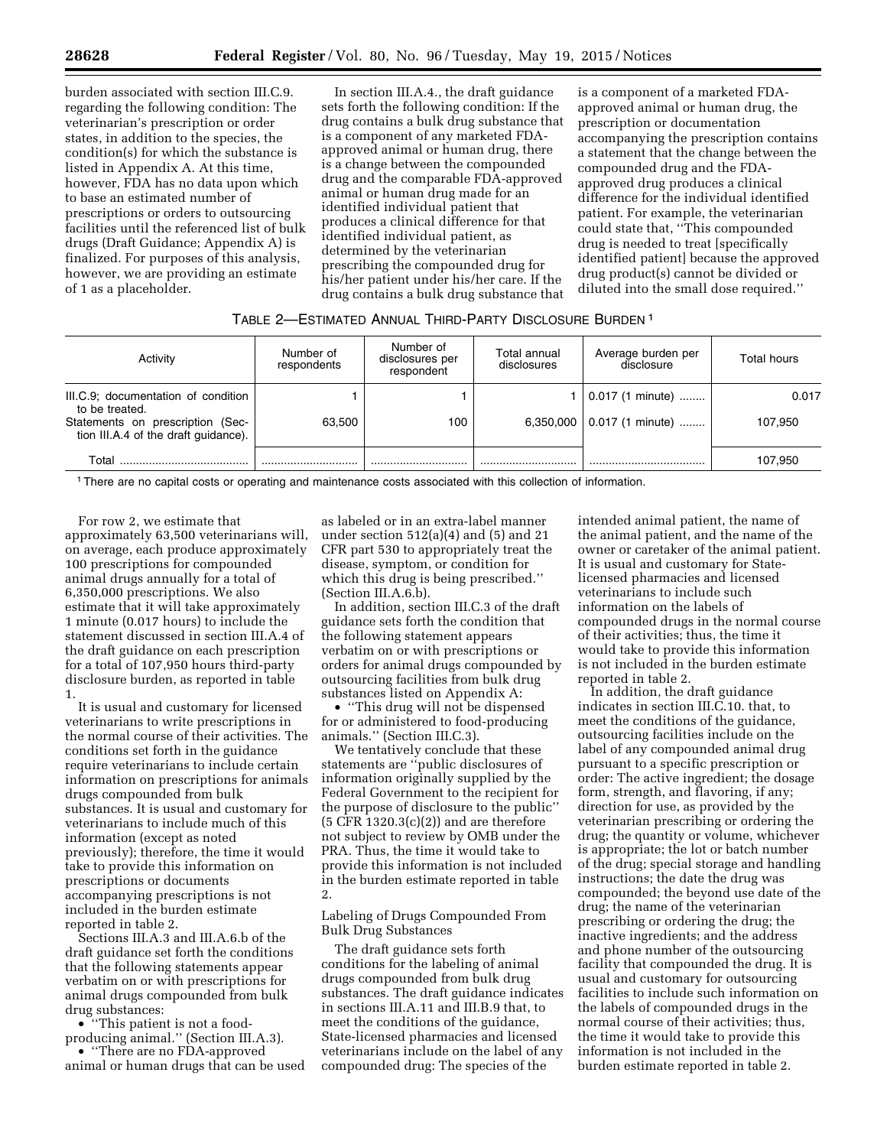burden associated with section III.C.9. regarding the following condition: The veterinarian's prescription or order states, in addition to the species, the condition(s) for which the substance is listed in Appendix A. At this time, however, FDA has no data upon which to base an estimated number of prescriptions or orders to outsourcing facilities until the referenced list of bulk drugs (Draft Guidance; Appendix A) is finalized. For purposes of this analysis, however, we are providing an estimate of 1 as a placeholder.

In section III.A.4., the draft guidance sets forth the following condition: If the drug contains a bulk drug substance that is a component of any marketed FDAapproved animal or human drug, there is a change between the compounded drug and the comparable FDA-approved animal or human drug made for an identified individual patient that produces a clinical difference for that identified individual patient, as determined by the veterinarian prescribing the compounded drug for his/her patient under his/her care. If the drug contains a bulk drug substance that

is a component of a marketed FDAapproved animal or human drug, the prescription or documentation accompanying the prescription contains a statement that the change between the compounded drug and the FDAapproved drug produces a clinical difference for the individual identified patient. For example, the veterinarian could state that, ''This compounded drug is needed to treat [specifically identified patient] because the approved drug product(s) cannot be divided or diluted into the small dose required.''

# TABLE 2—ESTIMATED ANNUAL THIRD-PARTY DISCLOSURE BURDEN 1

| Activity                                                                                                                          | Number of<br>respondents | Number of<br>disclosures per<br>respondent | Total annual<br>disclosures | Average burden per<br>disclosure       | Total hours      |
|-----------------------------------------------------------------------------------------------------------------------------------|--------------------------|--------------------------------------------|-----------------------------|----------------------------------------|------------------|
| III.C.9; documentation of condition<br>to be treated.<br>Statements on prescription (Sec-<br>tion III.A.4 of the draft quidance). | 63.500                   | 100                                        | 6,350,000                   | $0.017$ (1 minute)<br>0.017 (1 minute) | 0.017<br>107.950 |
| Total                                                                                                                             |                          |                                            |                             |                                        | 107.950          |

1There are no capital costs or operating and maintenance costs associated with this collection of information.

For row 2, we estimate that approximately 63,500 veterinarians will, on average, each produce approximately 100 prescriptions for compounded animal drugs annually for a total of 6,350,000 prescriptions. We also estimate that it will take approximately 1 minute (0.017 hours) to include the statement discussed in section III.A.4 of the draft guidance on each prescription for a total of 107,950 hours third-party disclosure burden, as reported in table 1.

It is usual and customary for licensed veterinarians to write prescriptions in the normal course of their activities. The conditions set forth in the guidance require veterinarians to include certain information on prescriptions for animals drugs compounded from bulk substances. It is usual and customary for veterinarians to include much of this information (except as noted previously); therefore, the time it would take to provide this information on prescriptions or documents accompanying prescriptions is not included in the burden estimate reported in table 2.

Sections III.A.3 and III.A.6.b of the draft guidance set forth the conditions that the following statements appear verbatim on or with prescriptions for animal drugs compounded from bulk drug substances:

• ''This patient is not a foodproducing animal.'' (Section III.A.3). • ''There are no FDA-approved animal or human drugs that can be used

as labeled or in an extra-label manner under section  $512(a)(4)$  and  $(5)$  and  $21$ CFR part 530 to appropriately treat the disease, symptom, or condition for which this drug is being prescribed.'' (Section III.A.6.b).

In addition, section III.C.3 of the draft guidance sets forth the condition that the following statement appears verbatim on or with prescriptions or orders for animal drugs compounded by outsourcing facilities from bulk drug substances listed on Appendix A:

• ''This drug will not be dispensed for or administered to food-producing animals.'' (Section III.C.3).

We tentatively conclude that these statements are ''public disclosures of information originally supplied by the Federal Government to the recipient for the purpose of disclosure to the public''  $(5$  CFR 1320.3 $(c)(2)$  and are therefore not subject to review by OMB under the PRA. Thus, the time it would take to provide this information is not included in the burden estimate reported in table 2.

Labeling of Drugs Compounded From Bulk Drug Substances

The draft guidance sets forth conditions for the labeling of animal drugs compounded from bulk drug substances. The draft guidance indicates in sections III.A.11 and III.B.9 that, to meet the conditions of the guidance, State-licensed pharmacies and licensed veterinarians include on the label of any compounded drug: The species of the

intended animal patient, the name of the animal patient, and the name of the owner or caretaker of the animal patient. It is usual and customary for Statelicensed pharmacies and licensed veterinarians to include such information on the labels of compounded drugs in the normal course of their activities; thus, the time it would take to provide this information is not included in the burden estimate reported in table 2.

In addition, the draft guidance indicates in section III.C.10. that, to meet the conditions of the guidance, outsourcing facilities include on the label of any compounded animal drug pursuant to a specific prescription or order: The active ingredient; the dosage form, strength, and flavoring, if any; direction for use, as provided by the veterinarian prescribing or ordering the drug; the quantity or volume, whichever is appropriate; the lot or batch number of the drug; special storage and handling instructions; the date the drug was compounded; the beyond use date of the drug; the name of the veterinarian prescribing or ordering the drug; the inactive ingredients; and the address and phone number of the outsourcing facility that compounded the drug. It is usual and customary for outsourcing facilities to include such information on the labels of compounded drugs in the normal course of their activities; thus, the time it would take to provide this information is not included in the burden estimate reported in table 2.